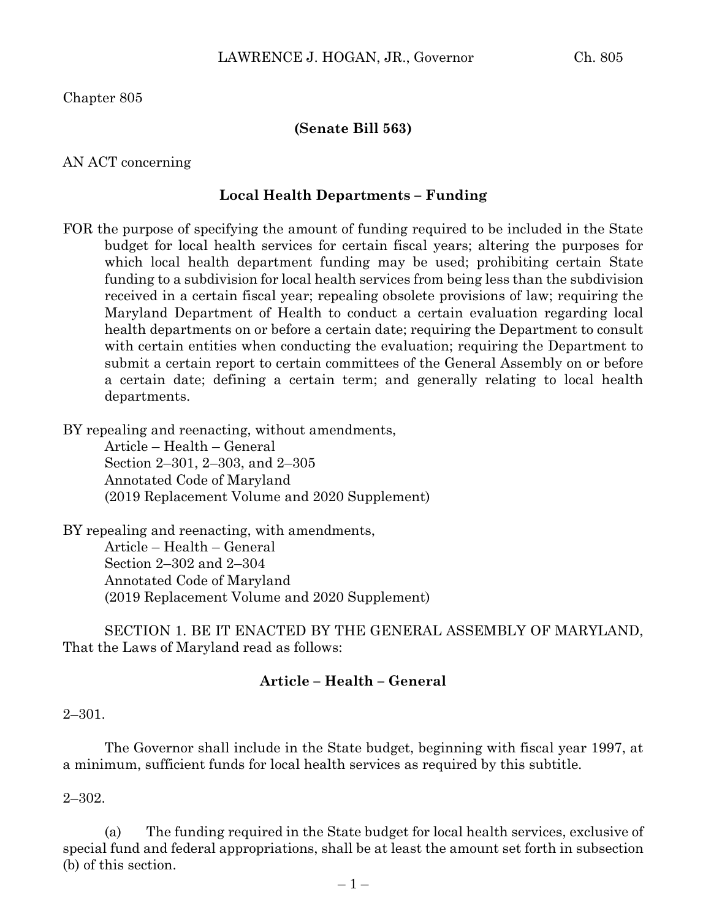Chapter 805

### **(Senate Bill 563)**

### AN ACT concerning

### **Local Health Departments – Funding**

FOR the purpose of specifying the amount of funding required to be included in the State budget for local health services for certain fiscal years; altering the purposes for which local health department funding may be used; prohibiting certain State funding to a subdivision for local health services from being less than the subdivision received in a certain fiscal year; repealing obsolete provisions of law; requiring the Maryland Department of Health to conduct a certain evaluation regarding local health departments on or before a certain date; requiring the Department to consult with certain entities when conducting the evaluation; requiring the Department to submit a certain report to certain committees of the General Assembly on or before a certain date; defining a certain term; and generally relating to local health departments.

BY repealing and reenacting, without amendments,

Article – Health – General Section 2–301, 2–303, and 2–305 Annotated Code of Maryland (2019 Replacement Volume and 2020 Supplement)

BY repealing and reenacting, with amendments, Article – Health – General Section 2–302 and 2–304 Annotated Code of Maryland (2019 Replacement Volume and 2020 Supplement)

SECTION 1. BE IT ENACTED BY THE GENERAL ASSEMBLY OF MARYLAND, That the Laws of Maryland read as follows:

### **Article – Health – General**

### 2–301.

The Governor shall include in the State budget, beginning with fiscal year 1997, at a minimum, sufficient funds for local health services as required by this subtitle.

### 2–302.

(a) The funding required in the State budget for local health services, exclusive of special fund and federal appropriations, shall be at least the amount set forth in subsection (b) of this section.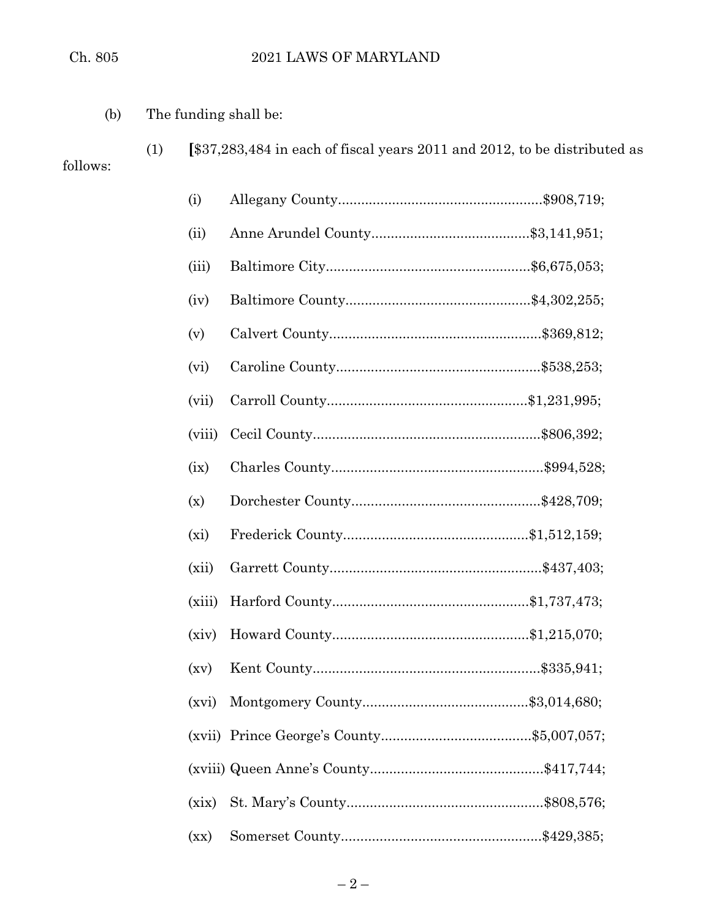(1) **[**\$37,283,484 in each of fiscal years 2011 and 2012, to be distributed as

(b) The funding shall be:

follows:

| (i)    |  |
|--------|--|
| (ii)   |  |
| (iii)  |  |
| (iv)   |  |
| (v)    |  |
| (vi)   |  |
| (vii)  |  |
| (viii) |  |
| (ix)   |  |
| (x)    |  |
| (xi)   |  |
| (xii)  |  |
| (xiii) |  |
| (xiv)  |  |
| (xv)   |  |
|        |  |
|        |  |
|        |  |
| (xix)  |  |
| (xx)   |  |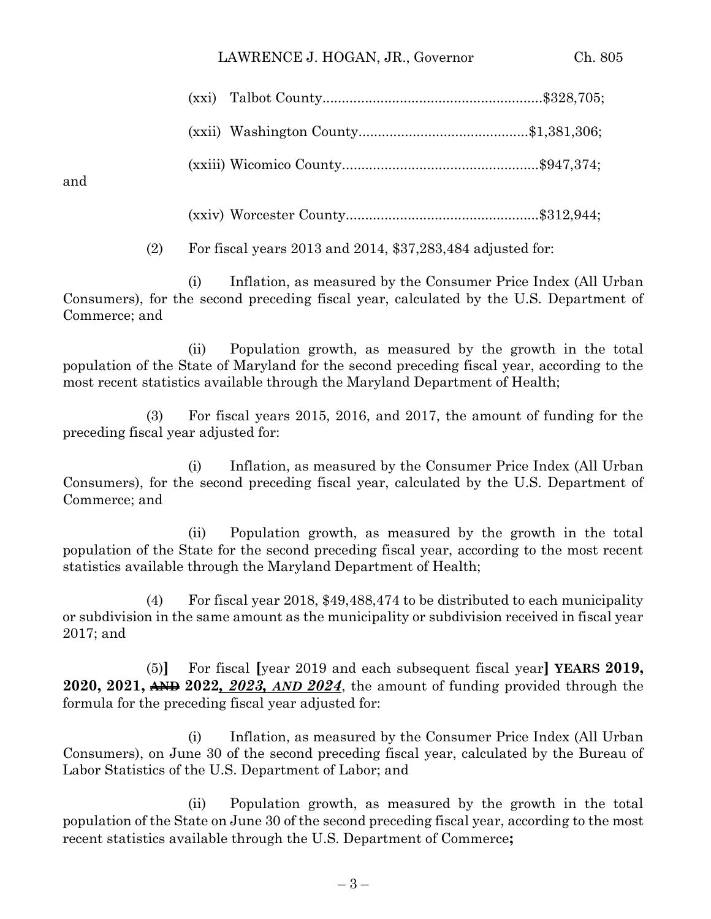### LAWRENCE J. HOGAN, JR., Governor Ch. 805

and

(xxiv) Worcester County..................................................\$312,944;

(2) For fiscal years 2013 and 2014, \$37,283,484 adjusted for:

(i) Inflation, as measured by the Consumer Price Index (All Urban Consumers), for the second preceding fiscal year, calculated by the U.S. Department of Commerce; and

(ii) Population growth, as measured by the growth in the total population of the State of Maryland for the second preceding fiscal year, according to the most recent statistics available through the Maryland Department of Health;

(3) For fiscal years 2015, 2016, and 2017, the amount of funding for the preceding fiscal year adjusted for:

(i) Inflation, as measured by the Consumer Price Index (All Urban Consumers), for the second preceding fiscal year, calculated by the U.S. Department of Commerce; and

(ii) Population growth, as measured by the growth in the total population of the State for the second preceding fiscal year, according to the most recent statistics available through the Maryland Department of Health;

(4) For fiscal year 2018, \$49,488,474 to be distributed to each municipality or subdivision in the same amount as the municipality or subdivision received in fiscal year 2017; and

(5)**]** For fiscal **[**year 2019 and each subsequent fiscal year**] YEARS 2019, 2020, 2021, AND 2022***, 2023, AND 2024*, the amount of funding provided through the formula for the preceding fiscal year adjusted for:

(i) Inflation, as measured by the Consumer Price Index (All Urban Consumers), on June 30 of the second preceding fiscal year, calculated by the Bureau of Labor Statistics of the U.S. Department of Labor; and

(ii) Population growth, as measured by the growth in the total population of the State on June 30 of the second preceding fiscal year, according to the most recent statistics available through the U.S. Department of Commerce**;**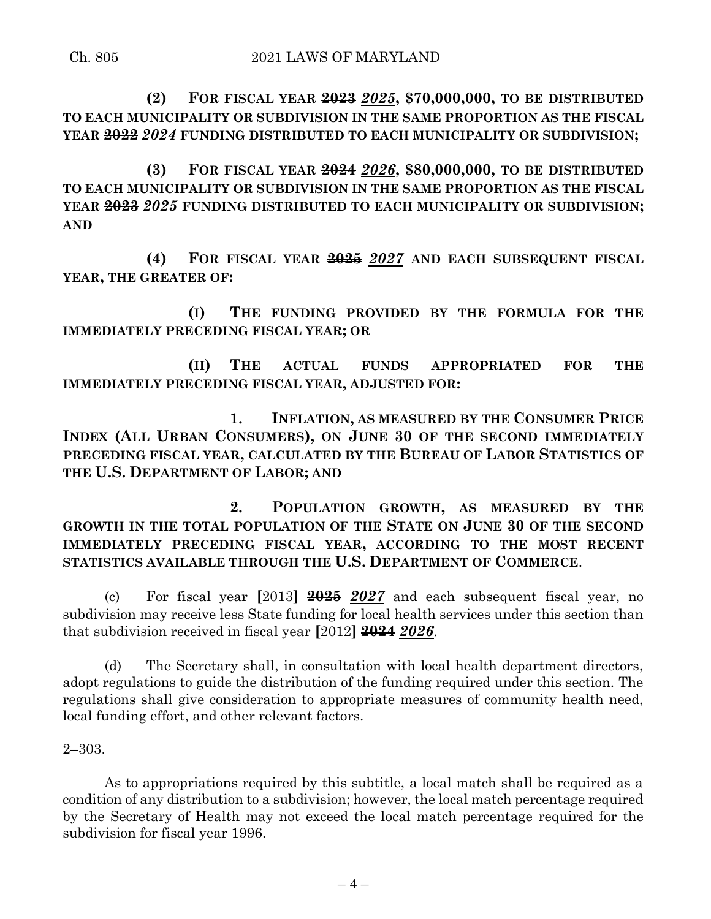**(2) FOR FISCAL YEAR 2023** *2025***, \$70,000,000, TO BE DISTRIBUTED TO EACH MUNICIPALITY OR SUBDIVISION IN THE SAME PROPORTION AS THE FISCAL YEAR 2022** *2024* **FUNDING DISTRIBUTED TO EACH MUNICIPALITY OR SUBDIVISION;**

**(3) FOR FISCAL YEAR 2024** *2026***, \$80,000,000, TO BE DISTRIBUTED TO EACH MUNICIPALITY OR SUBDIVISION IN THE SAME PROPORTION AS THE FISCAL YEAR 2023** *2025* **FUNDING DISTRIBUTED TO EACH MUNICIPALITY OR SUBDIVISION; AND**

**(4) FOR FISCAL YEAR 2025** *2027* **AND EACH SUBSEQUENT FISCAL YEAR, THE GREATER OF:**

**(I) THE FUNDING PROVIDED BY THE FORMULA FOR THE IMMEDIATELY PRECEDING FISCAL YEAR; OR**

**(II) THE ACTUAL FUNDS APPROPRIATED FOR THE IMMEDIATELY PRECEDING FISCAL YEAR, ADJUSTED FOR:**

**1. INFLATION, AS MEASURED BY THE CONSUMER PRICE INDEX (ALL URBAN CONSUMERS), ON JUNE 30 OF THE SECOND IMMEDIATELY PRECEDING FISCAL YEAR, CALCULATED BY THE BUREAU OF LABOR STATISTICS OF THE U.S. DEPARTMENT OF LABOR; AND**

**2. POPULATION GROWTH, AS MEASURED BY THE GROWTH IN THE TOTAL POPULATION OF THE STATE ON JUNE 30 OF THE SECOND IMMEDIATELY PRECEDING FISCAL YEAR, ACCORDING TO THE MOST RECENT STATISTICS AVAILABLE THROUGH THE U.S. DEPARTMENT OF COMMERCE**.

(c) For fiscal year **[**2013**] 2025** *2027* and each subsequent fiscal year, no subdivision may receive less State funding for local health services under this section than that subdivision received in fiscal year **[**2012**] 2024** *2026*.

(d) The Secretary shall, in consultation with local health department directors, adopt regulations to guide the distribution of the funding required under this section. The regulations shall give consideration to appropriate measures of community health need, local funding effort, and other relevant factors.

2–303.

As to appropriations required by this subtitle, a local match shall be required as a condition of any distribution to a subdivision; however, the local match percentage required by the Secretary of Health may not exceed the local match percentage required for the subdivision for fiscal year 1996.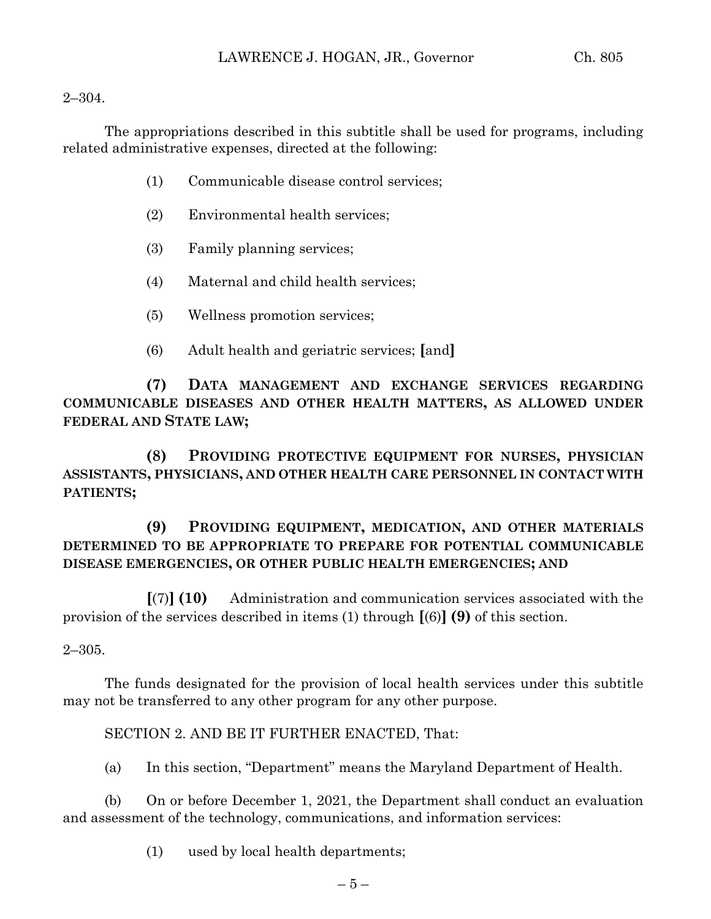### $2 - 304$ .

The appropriations described in this subtitle shall be used for programs, including related administrative expenses, directed at the following:

- (1) Communicable disease control services;
- (2) Environmental health services;
- (3) Family planning services;
- (4) Maternal and child health services;
- (5) Wellness promotion services;
- (6) Adult health and geriatric services; **[**and**]**

**(7) DATA MANAGEMENT AND EXCHANGE SERVICES REGARDING COMMUNICABLE DISEASES AND OTHER HEALTH MATTERS, AS ALLOWED UNDER FEDERAL AND STATE LAW;**

**(8) PROVIDING PROTECTIVE EQUIPMENT FOR NURSES, PHYSICIAN ASSISTANTS, PHYSICIANS, AND OTHER HEALTH CARE PERSONNEL IN CONTACT WITH PATIENTS;**

## **(9) PROVIDING EQUIPMENT, MEDICATION, AND OTHER MATERIALS DETERMINED TO BE APPROPRIATE TO PREPARE FOR POTENTIAL COMMUNICABLE DISEASE EMERGENCIES, OR OTHER PUBLIC HEALTH EMERGENCIES; AND**

**[**(7)**] (10)** Administration and communication services associated with the provision of the services described in items (1) through **[**(6)**] (9)** of this section.

### 2–305.

The funds designated for the provision of local health services under this subtitle may not be transferred to any other program for any other purpose.

SECTION 2. AND BE IT FURTHER ENACTED, That:

(a) In this section, "Department" means the Maryland Department of Health.

(b) On or before December 1, 2021, the Department shall conduct an evaluation and assessment of the technology, communications, and information services:

(1) used by local health departments;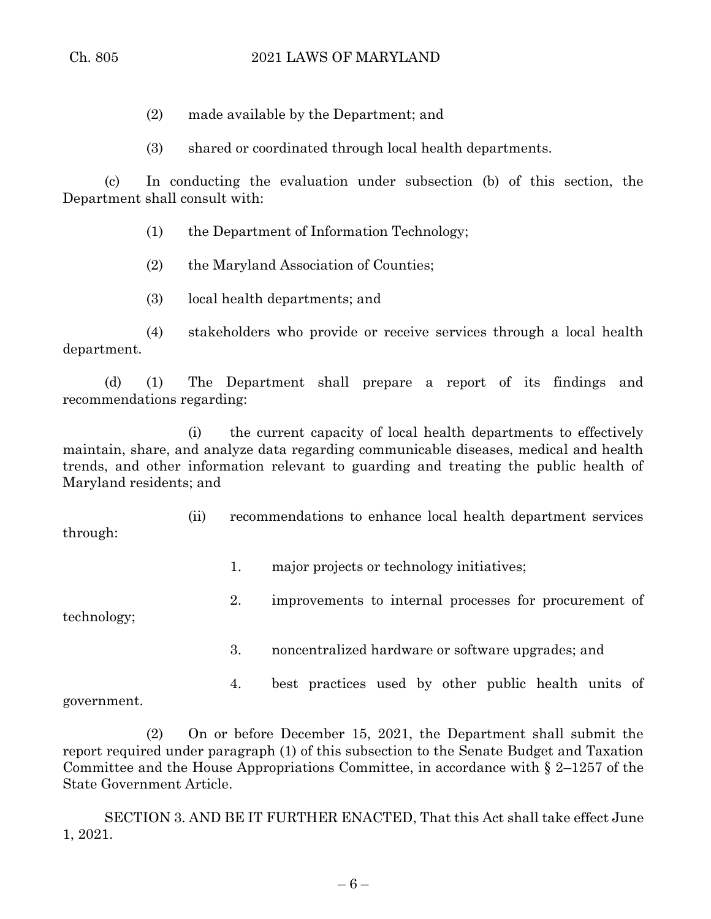- (2) made available by the Department; and
- (3) shared or coordinated through local health departments.

(c) In conducting the evaluation under subsection (b) of this section, the Department shall consult with:

- (1) the Department of Information Technology;
- (2) the Maryland Association of Counties;
- (3) local health departments; and

(4) stakeholders who provide or receive services through a local health department.

(d) (1) The Department shall prepare a report of its findings and recommendations regarding:

(i) the current capacity of local health departments to effectively maintain, share, and analyze data regarding communicable diseases, medical and health trends, and other information relevant to guarding and treating the public health of Maryland residents; and

(ii) recommendations to enhance local health department services through:

1. major projects or technology initiatives;

technology;

- 2. improvements to internal processes for procurement of
	- 3. noncentralized hardware or software upgrades; and
- 4. best practices used by other public health units of government.

(2) On or before December 15, 2021, the Department shall submit the report required under paragraph (1) of this subsection to the Senate Budget and Taxation Committee and the House Appropriations Committee, in accordance with § 2–1257 of the State Government Article.

SECTION 3. AND BE IT FURTHER ENACTED, That this Act shall take effect June 1, 2021.